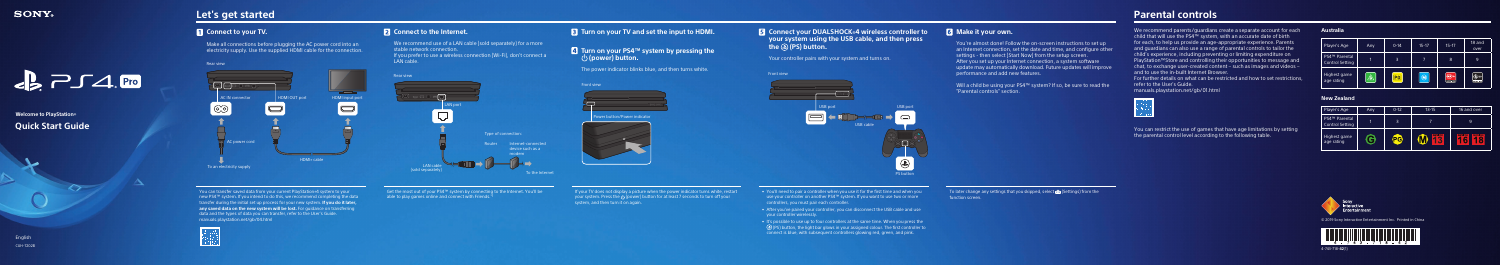# $\epsilon$   $\geq$   $\sim$   $\sim$   $\sim$   $\epsilon$

## **Relcome to PlayStation Quick Start Guide**

## **Let's get started**

## **1** Connect to your TV.

Make all connections before plugging the AC power cord into an electricity supply. Use the supplied HDMI cable for the connection.

(1)4-743-718-**42**

#### **Australia**

| Player's Age                                        | Any | $0 - 14$ | $15 - 17$ | $15 - 17$           | 18 and<br>over         |
|-----------------------------------------------------|-----|----------|-----------|---------------------|------------------------|
| PS4 <sup>™</sup> Parental<br><b>Control Setting</b> |     |          |           | 8                   | 9                      |
| Highest game<br>age rating                          |     | PG       | (M        | MA 15<br>RESTRICTED | $R^{18}$<br>RESTRICTED |

#### **New Zealand**

| Player's Age                                        | Any. | $0-12$ | $13 - 15$              | 16 and over                            |
|-----------------------------------------------------|------|--------|------------------------|----------------------------------------|
| PS4 <sup>™</sup> Parental<br><b>Control Setting</b> | 1    | 3      |                        | 9                                      |
| Highest game<br>age rating                          |      | PG     | <b>RESTRICTED</b><br>4 | <b>RESTRICTED</b><br><b>RESTRICTED</b> |



© 2019 Sony Interactive Entertainment Inc. Printed in China



English **CUH-7202B** 

#### **B** Turn on your TV and set the input to HDMI.

#### **4 Turn on your PS4™ system by pressing the (b)** (power) button.

. The power indicator blinks blue, and then turns white.

#### **Front view**



Power button/Power indicator



**B** Connect your DUALSHOCK<sup>®</sup>4 wireless controller to **your system using the USB cable, and then press** the **(a)** (PS) button.

Your controller pairs with your system and turns on.



### **6** Make it your own.

- You're almost done! Follow the on-screen instructions to set up  $\overline{a}$  an Internet connection, set the date and time, and configure other  $\overline{a}$ settings - then select (Start Now) from the setup screen. After you set up your Internet connection a system software update may automatically download. Future updates will improve .features performance and add new features.

Will a child be using your PS4™ system? If so, be sure to read the . "Parental controls" section.

If your TV does not display a picture when the power indicator turns white, restart your system. Press the  $\bigcirc$  (power) button for at least 7 seconds to turn off your system, and then turn it on again.

- You'll need to pair a controller when you use it for the first time and when you more out two use your controller on another PS4<sup>™</sup> system. If you want to use two or more . controllers, you must pair each controller.
- After you've paired your controller, you can disconnect the USB cable and use your controller wirelessly.
- $\cdot$  It's possible to use up to four controllers at the same time. When you press the  $\Theta$  (PS) button, the light bar glows in your assigned colour. The first controller to . connect is blue, with subsequent controllers glowing red, green, and pink.

To later change any settings that you skipped, select  $\mathbb{E}$  (Settings) from the function screen.

## **Parental controls**

We recommend parents/quardians create a separate account for each child that will use the PS4<sup>™</sup> system, with an accurate date of birth Farents . For each, to help us provide an age-appropriate experience. Parents and quardians can also use a range of parental controls to tailor the child's experience, including preventing or limiting expenditure on PlayStation™Store and controlling their opportunities to message and chat, to exchange user-created content – such as images and videos – and to use the in-built Internet Browser

For further details on what can be restricted and how to set restrictions. refer to the User's Guide.

manuals.playstation.net/gb/01.html



You can restrict the use of games that have age limitations by setting the parental control level according to the following table.



6 Get the most out of your PS4<sup>™</sup> system by connecting to the Internet. You'll be able to play games online and connect with Friends. $*$ 



You can transfer saved data from your current PlayStation 4 system to your new PS4™ system. If you intend to do this, we recommend completing the data transfer during the initial set up process for your new system. **If you do it later,** the lost. For quidance on transferring on the new system will be lost. For quidance on transferring data and the types of data you can transfer, refer to the User's Guide. manuals.playstation.net/gb/04.html



### **2** Connect to the Internet.

We recommend use of a LAN cable (sold separately) for a more stable network connection.

If you prefer to use a wireless connection (Wi-Fi), don't connect a **LAN** cable